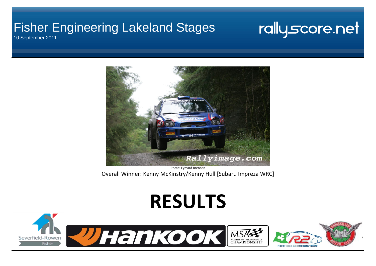### Fisher Engineering Lakeland Stages 10 September 2011

## rallyscore.net

Rallyimage.com

Photo: Eymard Brennan Overall Winner: Kenny McKinstry/Kenny Hull [Subaru Impreza WRC]

# **RESULTS**

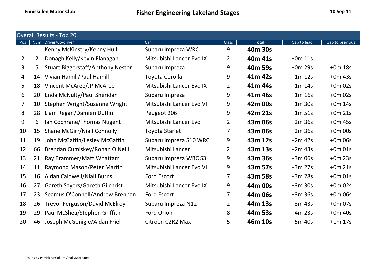|                | <b>Overall Results - Top 20</b><br>Num Driver/Co-driver<br>Car<br><b>Class</b><br><b>Total</b><br>Gap to lead |                                          |                          |                |         |           |                 |  |  |  |  |  |
|----------------|---------------------------------------------------------------------------------------------------------------|------------------------------------------|--------------------------|----------------|---------|-----------|-----------------|--|--|--|--|--|
| Pos            |                                                                                                               |                                          |                          |                |         |           | Gap to previous |  |  |  |  |  |
| 1              | 1                                                                                                             | Kenny McKinstry/Kenny Hull               | Subaru Impreza WRC       | 9              | 40m 30s |           |                 |  |  |  |  |  |
| $\overline{2}$ | $\overline{2}$                                                                                                | Donagh Kelly/Kevin Flanagan              | Mitsubishi Lancer Evo IX | $\overline{2}$ | 40m 41s | $+0m$ 11s |                 |  |  |  |  |  |
| 3              | 5                                                                                                             | <b>Stuart Biggerstaff/Anthony Nestor</b> | Subaru Impreza           | 9              | 40m 59s | $+0m$ 29s | $+0m$ 18s       |  |  |  |  |  |
| $\overline{4}$ | 14                                                                                                            | Vivian Hamill/Paul Hamill                | Toyota Corolla           | 9              | 41m 42s | $+1m$ 12s | $+0m$ 43s       |  |  |  |  |  |
| 5              | 18                                                                                                            | Vincent McAree/JP McAree                 | Mitsubishi Lancer Evo IX | $\overline{2}$ | 41m 44s | $+1m$ 14s | $+0m$ 02s       |  |  |  |  |  |
| 6              | 20                                                                                                            | Enda McNulty/Paul Sheridan               | Subaru Impreza           | 9              | 41m 46s | $+1m$ 16s | $+0m$ 02s       |  |  |  |  |  |
| 7              | 10                                                                                                            | Stephen Wright/Susanne Wright            | Mitsubishi Lancer Evo VI | 9              | 42m 00s | $+1m$ 30s | $+0m$ 14s       |  |  |  |  |  |
| 8              | 28                                                                                                            | Liam Regan/Damien Duffin                 | Peugeot 206              | 9              | 42m 21s | $+1m$ 51s | $+0m$ 21s       |  |  |  |  |  |
| 9              | 6                                                                                                             | Ian Cochrane/Thomas Nugent               | Mitsubishi Lancer Evo    | $\overline{2}$ | 43m 06s | $+2m$ 36s | $+0m$ 45s       |  |  |  |  |  |
| 10             | 15                                                                                                            | <b>Shane McGirr/Niall Connolly</b>       | <b>Toyota Starlet</b>    | 7              | 43m 06s | $+2m$ 36s | $+0m$ 00s       |  |  |  |  |  |
| 11             | 19                                                                                                            | John McGaffin/Lesley McGaffin            | Subaru Impreza S10 WRC   | 9              | 43m 12s | $+2m$ 42s | $+0m$ 06s       |  |  |  |  |  |
| 12             | 66                                                                                                            | Brendan Cumiskey/Ronan O'Neill           | Mitsubishi Lancer        | $\overline{2}$ | 43m 13s | $+2m$ 43s | $+0m$ 01s       |  |  |  |  |  |
| 13             | 21                                                                                                            | Ray Brammer/Matt Whattam                 | Subaru Impreza WRC S3    | 9              | 43m 36s | $+3m$ 06s | $+0m$ 23s       |  |  |  |  |  |
| 14             | 11                                                                                                            | Raymond Mason/Peter Martin               | Mitsubishi Lancer Evo VI | 9              | 43m 57s | $+3m$ 27s | $+0m$ 21s       |  |  |  |  |  |
| 15             | 16                                                                                                            | Aidan Caldwell/Niall Burns               | Ford Escort              | 7              | 43m 58s | $+3m$ 28s | $+0m$ 01s       |  |  |  |  |  |
| 16             | 27                                                                                                            | <b>Gareth Sayers/Gareth Gilchrist</b>    | Mitsubishi Lancer Evo IX | 9              | 44m 00s | $+3m$ 30s | $+0m$ 02s       |  |  |  |  |  |
| 17             | 23                                                                                                            | Seamus O'Connell/Andrew Brennan          | <b>Ford Escort</b>       | $\overline{7}$ | 44m 06s | $+3m36s$  | $+0m06s$        |  |  |  |  |  |
| 18             | 26                                                                                                            | <b>Trevor Ferguson/David McElroy</b>     | Subaru Impreza N12       | $\overline{2}$ | 44m 13s | $+3m$ 43s | $+0m$ 07s       |  |  |  |  |  |
| 19             | 29                                                                                                            | Paul McShea/Stephen Griffith             | Ford Orion               | 8              | 44m 53s | $+4m$ 23s | $+0m$ 40s       |  |  |  |  |  |
| 20             | 46                                                                                                            | Joseph McGonigle/Aidan Friel             | Citroën C2R2 Max         | 5              | 46m 10s | $+5m$ 40s | $+1m$ 17s       |  |  |  |  |  |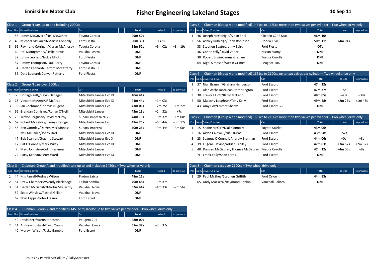| Class 1 | Group N cars up to and including 2000cc |                          |            |           |             | Class 5                  | Clubman (Group A and modified) 1451cc to 1650cc more than two valves per cylinder - Two wheel drive only |                       |            |           |             |
|---------|-----------------------------------------|--------------------------|------------|-----------|-------------|--------------------------|----------------------------------------------------------------------------------------------------------|-----------------------|------------|-----------|-------------|
|         | Pos Num Driver/Co-driver                | Car                      | Total      | to lead   | to previous | Pos Num Driver/Co-driver |                                                                                                          | Car                   | Total      | to lead   | to previous |
|         | 55 James McGovern/Neil McGahey          | Toyota Corolla           | 49m 50s    |           |             |                          | 46 Joseph McGonigle/Aidan Friel                                                                          | Citroën C2R2 Max      | 46m 10s    |           |             |
|         | Michael McCarroll/Martin Connelly<br>49 | <b>Ford Fiesta</b>       | 50m 33s    | $+43s$    |             |                          | 56 Ashley Rutledge/Brian Robinson                                                                        | Honda Civic           | 50m 11s    | $+4m$ 01s |             |
|         | Raymond Corrigan/Kieran McAnespy<br>61  | Toyota Corolla           | 58m 52s    | $+9m$ 02s | +8m 19s     |                          | 33 Stephen Baxter/Jonny Baird                                                                            | Ford Fiesta           | <b>OTL</b> |           |             |
|         | 60 Uel Montgomery/Leslie Hawe           | Vauxhall Astra           | <b>DNF</b> |           |             |                          | 36 Conor Kelly/David Vance                                                                               | Nissan Sunny          | <b>DNF</b> |           |             |
|         | 32 Jonny Leonard/Jackie Elliott         | <b>Ford Fiesta</b>       | <b>DNF</b> |           |             |                          | 38 Robert Erwin/Jimmy Graham                                                                             | Toyota Corolla        | <b>DNF</b> |           |             |
|         | 57 Jimmy Thompson/Paul Corry            | Toyota Corolla           | <b>DNF</b> |           |             |                          | 64 Nigel Simpson/Austin Grimes                                                                           | Peugeot 106           | <b>DNF</b> |           |             |
|         | 34 Declan Leonard/Dermot McCafferty     | Ford Fiesta ST           | <b>DNF</b> |           |             |                          |                                                                                                          |                       |            |           |             |
|         | 35 Dara Leonard/Denver Rafferty         | <b>Ford Fiesta</b>       | <b>DNF</b> |           |             | Class 6                  | Clubman (Group A and modified) 1651cc to 2100cc up to two valves per cylinder - Two wheel drive only     |                       |            |           |             |
|         |                                         |                          |            |           |             | Pos Num Driver/Co-driver |                                                                                                          | Car                   | Total      | to lead   | to previous |
| Class 2 | Group N cars over 2000cc                |                          |            |           |             |                          | 37 Niall Branniff/Graham Henderson                                                                       | <b>Ford Escort</b>    | 47m 22s    |           |             |
|         | Pos Num Driver/Co-driver                | Car                      | Total      | to lead   | to previous | $\overline{2}$           | 31 Alan Atcheson/Dean Hetherington                                                                       | Ford Escort           | 47m 27s    | $+5s$     |             |
|         | Donagh Kelly/Kevin Flanagan             | Mitsubishi Lancer Evo IX | 40m 41s    |           |             | 3                        | 30 Trevor Elliott/Barry McCann                                                                           | Ford Escort           | 48m 05s    | $+43s$    | $+38s$      |
|         | Vincent McAree/JP McAree<br>18          | Mitsubishi Lancer Evo IX | 41m 44s    | $+1m$ 03s |             |                          | 50 Malachy Loughran/Tony Kelly                                                                           | Ford Escort           | 49m 48s    | $+2m$ 26s | $+1m$ 43s   |
| 3       | Ian Cochrane/Thomas Nugent<br>6         | Mitsubishi Lancer Evo    | 43m 06s    | $+2m 25s$ | $+1m$ 22s   |                          | 43 Amy Cox/Emmet Sherry                                                                                  | Ford Escort G3        | <b>DNF</b> |           |             |
|         | Brendan Cumiskey/Ronan O'Neill<br>66    | Mitsubishi Lancer        | 43m 13s    | $+2m$ 32s | $+7s$       |                          |                                                                                                          |                       |            |           |             |
|         | Trevor Ferguson/David McElroy<br>26     | Subaru Impreza N12       | 44m 13s    | $+3m32s$  | $+1m$ 00s   | Class 7                  | Clubman (Group A and modified) 1651cc to 2100cc more than two valves per cylinder - Two wheel drive only |                       |            |           |             |
| 6       | Robert McKelvey/Benny Grainger<br>62    | Mitsubishi Lancer Evo    | 47m 25s    | $+6m$ 44s | $+3m$ 12s   | Pos Num Driver/Co-driver |                                                                                                          | Car                   | Total      | to lead   | to previous |
|         | Ben Gormley/Darren McGuinness<br>58     | Subaru Impreza           | 50m 25s    | $+9m$ 44s | $+3m$ 00s   | 1                        | 15 Shane McGirr/Niall Connolly                                                                           | <b>Toyota Starlet</b> | 43m 06s    |           |             |
|         | 3 Neil McCance/Jonny Hart               | Mitsubishi Lancer Evo IX | <b>DNF</b> |           |             | 2                        | 16 Aidan Caldwell/Niall Burns                                                                            | Ford Escort           | 43m 58s    | $+52s$    |             |
|         | Bob Scanlon/Graeme Stewart<br>47        | Mitsubishi Lancer Evo X  | <b>DNF</b> |           |             | 23                       | Seamus O'Connell/Andrew Brennan                                                                          | <b>Ford Escort</b>    | 44m 06s    | $+0s$     | $+8s$       |
|         | 17 Pat O'Connell/Mark Wiley             | Mitsubishi Lancer Evo IX | <b>DNF</b> |           |             | 39                       | Eugene Devine/Adrian Brolley                                                                             | Ford Escort           | 47m 03s    | $+3m 57s$ | $+2m$ 57s   |
|         | Marc Johnston/Colin Harkness            | Mitsubishi Lancer        | <b>DNF</b> |           |             |                          | Damien McGauran/Thomas McGauran                                                                          | Toyota Corolla        | 47m 12s    | $+4m$ 06s | $+9s$       |
|         | 22 Patsy Keenan/Peter Ward              | Mitsubishi Lancer Evo IX | <b>DNF</b> |           |             |                          | 9 Frank Kelly/Sean Ferris                                                                                | Ford Escort           | <b>DNF</b> |           |             |

|   | Clubman (Group A and modified) 1451cc to 1650cc more than two valves per cylinder – Two wheel drive only<br>Class 5 |                                   |                  |  |                                 |           |             |  |  |  |  |
|---|---------------------------------------------------------------------------------------------------------------------|-----------------------------------|------------------|--|---------------------------------|-----------|-------------|--|--|--|--|
|   |                                                                                                                     | Pos Num Driver/Co-driver          | Car              |  | <b>Total</b>                    | to lead   | to previous |  |  |  |  |
| 1 |                                                                                                                     | 46 Joseph McGonigle/Aidan Friel   | Citroën C2R2 Max |  | 46m 10s                         |           |             |  |  |  |  |
| 2 |                                                                                                                     | 56 Ashley Rutledge/Brian Robinson | Honda Civic      |  | 50 <sub>m</sub> 11 <sub>s</sub> | $+4m$ 01s |             |  |  |  |  |
|   |                                                                                                                     | 33 Stephen Baxter/Jonny Baird     | Ford Fiesta      |  | <b>OTL</b>                      |           |             |  |  |  |  |
|   |                                                                                                                     | 36 Conor Kelly/David Vance        | Nissan Sunny     |  | <b>DNF</b>                      |           |             |  |  |  |  |
|   |                                                                                                                     | 38 Robert Erwin/Jimmy Graham      | Toyota Corolla   |  | <b>DNF</b>                      |           |             |  |  |  |  |
|   |                                                                                                                     | 64 Nigel Simpson/Austin Grimes    | Peugeot 106      |  | <b>DNF</b>                      |           |             |  |  |  |  |

| Class 6        | Clubman (Group A and modified) 1651cc to 2100cc up to two valves per cylinder - Two wheel drive only |                |  |              |           |             |
|----------------|------------------------------------------------------------------------------------------------------|----------------|--|--------------|-----------|-------------|
|                | Pos Num Driver/Co-driver                                                                             | Car            |  | <b>Total</b> | to lead   | to previous |
| $\mathbf{1}$   | 37 Niall Branniff/Graham Henderson                                                                   | Ford Escort    |  | 47m 22s      |           |             |
| $2^{\circ}$    | 31 Alan Atcheson/Dean Hetherington                                                                   | Ford Escort    |  | 47m 27s      | +5s       |             |
| 3              | 30 Trevor Elliott/Barry McCann                                                                       | Ford Escort    |  | 48m 05s      | $+43s$    | $+38s$      |
| $\overline{4}$ | 50 Malachy Loughran/Tony Kelly                                                                       | Ford Escort    |  | 49m 48s      | $+2m$ 26s | $+1m$ 43s   |
|                | 43 Amy Cox/Emmet Sherry                                                                              | Ford Escort G3 |  | <b>DNF</b>   |           |             |

| Class <sub>7</sub> |    | Clubman (Group A and modified) 1651cc to 2100cc more than two valves per cylinder - Two wheel drive only |                       |              |           |             |
|--------------------|----|----------------------------------------------------------------------------------------------------------|-----------------------|--------------|-----------|-------------|
|                    |    | Pos Num Driver/Co-driver                                                                                 | Car                   | <b>Total</b> | to lead   | to previous |
|                    |    | 15 Shane McGirr/Niall Connolly                                                                           | <b>Toyota Starlet</b> | 43m 06s      |           |             |
|                    |    | 16 Aidan Caldwell/Niall Burns                                                                            | Ford Escort           | 43m 58s      | $+52s$    |             |
|                    |    | 23 Seamus O'Connell/Andrew Brennan                                                                       | Ford Escort           | 44m 06s      | $+0s$     | $+8s$       |
| 4                  |    | 39 Eugene Devine/Adrian Brolley                                                                          | Ford Escort           | 47m 03s      | $+3m 57s$ | $+2m$ 57s   |
| 5.                 |    | 48 Damien McGauran/Thomas McGauran Tovota Corolla                                                        |                       | 47m 12s      | $+4m$ 06s | +9s         |
|                    | -9 | Frank Kelly/Sean Ferris                                                                                  | Ford Escort           | <b>DNF</b>   |           |             |

| Class 3 Clubman (Group A and modified) cars up to and including 1450cc - Two-wheel drive only |                                        |               |  |              |           |         | Clubman cars over $2100cc - Two$ wheel drive only<br>Class 8 |                                      |                  |  |            |         |             |  |
|-----------------------------------------------------------------------------------------------|----------------------------------------|---------------|--|--------------|-----------|---------|--------------------------------------------------------------|--------------------------------------|------------------|--|------------|---------|-------------|--|
|                                                                                               | Pos Num Driver/Co-driver               | Car           |  | <b>Total</b> | to lead   |         |                                                              | to previous Pos Num Driver/Co-driver | <b>Car</b>       |  | Total      | to lead | to previous |  |
|                                                                                               | 1 44 Kris Farrell/Rodney Wilson        | Proton Satria |  | 48m 11s      |           |         |                                                              | 29 Paul McShea/Stephen Griffith      | Ford Orion       |  | 44m 53s    |         |             |  |
|                                                                                               | 2 54 Drew Chambers/Wendy Blackledge    | Talbot Samba  |  | 49m 48s      | $+1m$ 37s |         |                                                              | 65 Andy Mackeral/Raymond Conlon      | Vauxhall Calibra |  | <b>DNF</b> |         |             |  |
|                                                                                               | 3 51 Declan McGarrity/Martin McGarrity | Vauxhall Nova |  | 52m 44s      | $+4m$ 33s | +2m 56s |                                                              |                                      |                  |  |            |         |             |  |
|                                                                                               | 52 Scott Winslow/Patrick Gillian       | Vauxhall Nova |  | <b>DNF</b>   |           |         |                                                              |                                      |                  |  |            |         |             |  |
|                                                                                               | 67 Noel Lappin/John Treanor            | Ford Escort   |  | <b>DNF</b>   |           |         |                                                              |                                      |                  |  |            |         |             |  |

| Class <sub>4</sub> |                               | Clubman (Group A and modified) 1451cc to 1650cc up to two valves per cylinder - Two wheel drive only |  |              |          |             |  |  |  |  |  |
|--------------------|-------------------------------|------------------------------------------------------------------------------------------------------|--|--------------|----------|-------------|--|--|--|--|--|
|                    | Pos Num Driver/Co-driver      | Car                                                                                                  |  | <b>Total</b> | to lead  | to previous |  |  |  |  |  |
|                    | 42 David Kerr/Aaron Johnston  | Peugeot 205                                                                                          |  | 48m 00s      |          |             |  |  |  |  |  |
|                    | 41 Andrew Bustard/David Young | Vauxhall Corsa                                                                                       |  | 51m 37s      | $+3m37s$ |             |  |  |  |  |  |
|                    | 40 Mervyn Wilson/Ricky Gamble | Ford Escort                                                                                          |  | <b>DNF</b>   |          |             |  |  |  |  |  |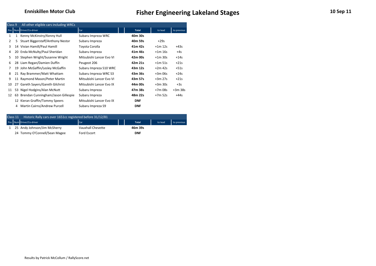| Class 9        |    | All other eligible cars including WRCs |                          |              |           |             |
|----------------|----|----------------------------------------|--------------------------|--------------|-----------|-------------|
|                |    | Pos Num Driver/Co-driver               | Car                      | <b>Total</b> | to lead   | to previous |
| 1              | 1  | Kenny McKinstry/Kenny Hull             | Subaru Impreza WRC       | 40m 30s      |           |             |
| $\overline{2}$ | 5  | Stuart Biggerstaff/Anthony Nestor      | Subaru Impreza           | 40m 59s      | $+29s$    |             |
| 3              |    | 14 Vivian Hamill/Paul Hamill           | Toyota Corolla           | 41m 42s      | $+1m$ 12s | $+43s$      |
| 4              |    | 20 Enda McNulty/Paul Sheridan          | Subaru Impreza           | 41m 46s      | $+1m$ 16s | $+4s$       |
| 5.             |    | 10 Stephen Wright/Susanne Wright       | Mitsubishi Lancer Evo VI | 42m 00s      | $+1m$ 30s | $+14s$      |
| 6              |    | 28 Liam Regan/Damien Duffin            | Peugeot 206              | 42m 21s      | $+1m$ 51s | $+21s$      |
| 7              | 19 | John McGaffin/Lesley McGaffin          | Subaru Impreza S10 WRC   | 43m 12s      | $+2m$ 42s | $+51s$      |
| 8              |    | 21 Ray Brammer/Matt Whattam            | Subaru Impreza WRC S3    | 43m 36s      | $+3m06s$  | $+24s$      |
| 9              |    | 11 Raymond Mason/Peter Martin          | Mitsubishi Lancer Evo VI | 43m 57s      | $+3m$ 27s | $+21s$      |
| 10             | 27 | Gareth Sayers/Gareth Gilchrist         | Mitsubishi Lancer Evo IX | 44m 00s      | $+3m$ 30s | $+3s$       |
| 11             |    | 53 Nigel Hodgins/Alan McNutt           | Subaru Impreza           | 47m 38s      | $+7m$ 08s | $+3m$ 38s   |
| 12             | 63 | Brendan Cunningham/Jason Gillespie     | Subaru Impreza           | 48m 22s      | +7m 52s   | $+44s$      |
|                |    | 12 Kieran Graffin/Tommy Speers         | Mitsubishi Lancer Evo IX | <b>DNF</b>   |           |             |
|                | 4  | Martin Cairns/Andrew Purcell           | Subaru Impreza S9        | <b>DNF</b>   |           |             |

| Class 11 | Historic Rally cars over 1651cc registered before 31/12/81 |                    |  |              |         |             |
|----------|------------------------------------------------------------|--------------------|--|--------------|---------|-------------|
|          | Pos Num Driver/Co-driver                                   | <b>I</b> Car       |  | <b>Total</b> | to lead | to previous |
|          | 1 25 Andy Johnson/Jim McSherry                             | Vauxhall Chevette  |  | 46m 39s      |         |             |
|          | 24 Tommy O'Connell/Sean Magee                              | <b>Ford Escort</b> |  | <b>DNF</b>   |         |             |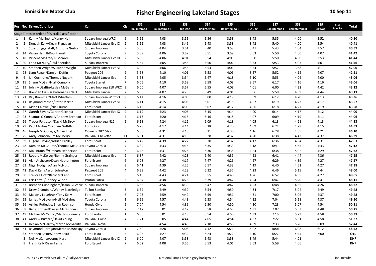|                |                | Pos No. Driver/Co-driver                           | Car                        | Cls            | <b>SS1</b>           | SS <sub>2</sub>       | SS <sub>3</sub> | <b>SS4</b>           | SS <sub>5</sub>       | SS <sub>6</sub> | SS7                  | SS8                   | SS9            | Road<br><b>Penalties</b> | Total      |
|----------------|----------------|----------------------------------------------------|----------------------------|----------------|----------------------|-----------------------|-----------------|----------------------|-----------------------|-----------------|----------------------|-----------------------|----------------|--------------------------|------------|
|                |                |                                                    |                            |                | <b>Ballintempo I</b> | <b>Ballintempo II</b> | <b>Big Dog</b>  | <b>Ballintempo I</b> | <b>Ballintempo II</b> | <b>Big Dog</b>  | <b>Ballintempo I</b> | <b>Ballintempo II</b> | <b>Big Dog</b> |                          |            |
|                |                | Stage Times in order of Overall Classification     |                            |                |                      |                       |                 |                      |                       |                 |                      |                       |                |                          |            |
| 1              | 1              | Kenny McKinstry/Kenny Hull                         | Subaru Impreza WRC         | 9              | 5:52                 | 4:03                  | 3:51            | 5:36                 | 3:58                  | 3:43            | 5:35                 | 4:00                  | 3:52           |                          | 40:30      |
| 2              | $\overline{2}$ | Donagh Kelly/Kevin Flanagan                        | Mitsubishi Lancer Evo IX 2 |                | 5:52                 | 4:03                  | 3:49            | 5:43                 | 3:58                  | 3:42            | 5:40                 | 4:00                  | 3:54           |                          | 40:41      |
| 3              | 5              | Stuart Biggerstaff/Anthony Nestor                  | Subaru Impreza             | 9              | 5:55                 | 4:04                  | 3:51            | 5:40                 | 3:58                  | 3:47            | 5:43                 | 4:04                  | 3:57           |                          | 40:59      |
| $\overline{4}$ |                | 14 Vivian Hamill/Paul Hamill                       | Toyota Corolla             | 9              | 5:59                 | 4:06                  | 3:57            | 5:51                 | 3:59                  | 3:53            | 5:50                 | 4:00                  | 4:07           |                          | 41:42      |
| 5              |                | 18 Vincent McAree/JP McAree                        | Mitsubishi Lancer Evo IX 2 |                | 6:05                 | 4:06                  | 4:01            | 5:54                 | 4:05                  | 3:50            | 5:50                 | 4:00                  | 3:53           |                          | 41:44      |
| 6              | 20             | Enda McNulty/Paul Sheridan                         | Subaru Impreza             | 9              | 5:57                 | 4:05                  | 3:58            | 5:50                 | 4:02                  | 3:53            | 5:53                 | 4:07                  | 4:01           |                          | 41:46      |
| $\overline{7}$ |                | 10 Stephen Wright/Susanne Wright                   | Mitsubishi Lancer Evo VI   | 9              | 6:02                 | 4:06                  | 3:58            | 5:53                 | 4:01                  | 3:54            | 5:57                 | 3:58                  | 4:11           |                          | 42:00      |
| 8              |                | 28 Liam Regan/Damien Duffin                        | Peugeot 206                | 9              | 5:58                 | 4:10                  | 4:01            | 5:58                 | 4:06                  | 3:57            | 5:52                 | 4:12                  | 4:07           |                          | 42:21      |
| 9              | 6              | Ian Cochrane/Thomas Nugent                         | Mitsubishi Lancer Evo      | $\overline{2}$ | 5:53                 | 4:05                  | 3:54            | 5:47                 | 4:18                  | 5:10            | 5:53                 | 4:06                  | 4:00           |                          | 43:06      |
| 10             |                | 15 Shane McGirr/Niall Connolly                     | <b>Toyota Starlet</b>      | $\overline{7}$ | 6:05                 | 4:10                  | 3:58            | 5:58                 | 4:09                  | 3:57            | 6:17                 | 4:16                  | 4:16           |                          | 43:06      |
| 11 19          |                | John McGaffin/Lesley McGaffin                      | Subaru Impreza S10 WRC 9   |                | 6:00                 | 4:07                  | 3:57            | 5:55                 | 4:08                  | 4:01            | 6:00                 | 4:22                  | 4:42           |                          | 43:12      |
| 12             | 66             | Brendan Cumiskey/Ronan O'Neill                     | Mitsubishi Lancer          | $\overline{2}$ | 6:08                 | 4:07                  | 4:20            | 5:49                 | 4:01                  | 3:56            | 5:59                 | 4:09                  | 4:44           |                          | 43:13      |
| 13             | 21             | Ray Brammer/Matt Whattam                           | Subaru Impreza WRC S3      | 9              | 6:14                 | 4:16                  | 4:03            | 6:00                 | 4:19                  | 3:59            | 6:12                 | 4:20                  | 4:13           |                          | 43:36      |
| 14             |                | 11 Raymond Mason/Peter Martin                      | Mitsubishi Lancer Evo VI 9 |                | 6:11                 | 4:15                  | 4:06            | 6:01                 | 4:18                  | 4:07            | 6:19                 | 4:23                  | 4:17           |                          | 43:57      |
| 15             | 16             | Aidan Caldwell/Niall Burns                         | Ford Escort                | $\overline{7}$ | 6:15                 | 4:14                  | 4:00            | 6:07                 | 4:12                  | 4:06            | 6:18                 | 4:27                  | 4:19           |                          | 43:58      |
| 16             | 27             | Gareth Sayers/Gareth Gilchrist                     | Mitsubishi Lancer Evo IX   | 9              | 6:19                 | 4:23                  | 4:06            | 6:15                 | 4:14                  | 4:00            | 6:14                 | 4:17                  | 4:12           |                          | 44:00      |
| 17             | 23             | Seamus O'Connell/Andrew Brennan                    | Ford Escort                | $\overline{7}$ | 6:13                 | 4:20                  | 4:13            | 6:16                 | 4:18                  | 4:07            | 6:09                 | 4:19                  | 4:11           |                          | 44:06      |
| 18             |                | 26 Trevor Ferguson/David McElroy                   | Subaru Impreza N12         | $\overline{2}$ | 6:18                 | 4:24                  | 4:12            | 6:09                 | 4:18                  | 4:05            | 6:13                 | 4:21                  | 4:13           |                          | 44:13      |
| 19             | 29             | Paul McShea/Stephen Griffith                       | Ford Orion                 | 8              | 6:28                 | 4:17                  | 4:14            | 6:18                 | 4:20                  | 4:09            | 6:24                 | 4:28                  | 4:15           |                          | 44:53      |
| 20             |                | 46 Joseph McGonigle/Aidan Friel                    | Citroën C2R2 Max           | 5              | 6:30                 | 4:31                  | 4:18            | 6:21                 | 4:30                  | 4:16            | 6:28                 | 4:55                  | 4:21           |                          | 46:10      |
| 21             |                | 25 Andy Johnson/Jim McSherry                       | Vauxhall Chevette          | 11             | 6:31                 | 4:31                  | 4:19            | 6:28                 | 4:32                  | 4:20            | 6:38                 | 4:43                  | 4:37           |                          | 46:39      |
| 22             | 39             | Eugene Devine/Adrian Brolley                       | Ford Escort                | $\overline{7}$ | 6:42                 | 4:39                  | 4:22            | 6:30                 | 4:32                  | 4:17            | 6:36                 | 4:54                  | 4:31           |                          | 47:03      |
| 23             | 48             | Damien McGauran/Thomas McGaurar Toyota Corolla     |                            | $\overline{7}$ | 6:39                 | 4:33                  | 4:15            | 6:35                 | 4:33                  | 4:18            | 6:41                 | 4:55                  | 4:43           |                          | 47:12      |
| 24             | 37             | Niall Branniff/Graham Henderson                    | Ford Escort                | 6              | 6:45                 | 4:31                  | 4:28            | 6:30                 | 4:35                  | 4:24            | 6:38                 | 5:02                  | 4:29           |                          | 47:22      |
| 25             | 62             | Robert McKelvey/Benny Grainger                     | Mitsubishi Lancer Evo      | $\overline{2}$ | 6:37                 | 4:42                  | 4:23            | 6:40                 | 4:39                  | 4:23            | 6:41                 | 4:44                  | 4:36           |                          | 47:25      |
| 26             |                | 31 Alan Atcheson/Dean Hetherington                 | Ford Escort                | 6              | 6:28                 | 4:27                  | 4:17            | 7:47                 | 4:26                  | 4:27            | 6:29                 | 4:39                  | 4:27           |                          | 47:27      |
| 27             |                | 53 Nigel Hodgins/Alan McNutt                       | Subaru Impreza             | 9              | 6:41                 | 4:39                  | 4:26            | 6:57                 | 4:38                  | 4:19            | 6:40                 | 4:51                  | 4:27           |                          | 47:38      |
| 28             | 42             | David Kerr/Aaron Johnston                          | Peugeot 205                | $\overline{4}$ | 6:38                 | 4:42                  | 4:23            | 6:32                 | 4:37                  | 4:23            | 6:46                 | 5:15                  | 4:44           |                          | 48:00      |
|                |                |                                                    | Ford Escort                | 6              | 6:43                 |                       | 4:24            |                      |                       | 4:26            |                      |                       |                |                          | 48:05      |
| 29             |                | 30 Trevor Elliott/Barry McCann                     |                            | 3              |                      | 4:43                  |                 | 6:55                 | 4:40                  |                 | 6:52                 | 4:55                  | 4:27           |                          |            |
| 30             | 44             | Kris Farrell/Rodney Wilson                         | Proton Satria              |                | 6:34                 | 4:38                  | 4:26            | 6:39                 | 4:42                  | 4:24            | 6:47                 | 5:20                  | 4:41           |                          | 48:11      |
| 31             | 63             | Brendan Cunningham/Jason Gillespie Subaru Impreza  |                            | 9              | 6:55                 | 4:56                  | 4:30            | 6:47                 | 4:42                  | 4:23            | 6:48                 | 4:55                  | 4:26           |                          | 48:22      |
| 32             | 54             | Drew Chambers/Wendy Blackledge                     | Talbot Samba               | 3              | 6:59                 | 4:49                  | 4:32            | 6:54                 | 4:50                  | 4:34            | 7:17                 | 5:04                  | 4:49           |                          | 49:48      |
| 33             | 50             | Malachy Loughran/Tony Kelly                        | Ford Escort                | 6              | 7:03                 | 4:59                  | 4:42            | 6:59                 | 4:51                  | 4:31            | 7:00                 | 5:06                  | 4:37           |                          | 49:48      |
| 34             | 55             | James McGovern/Neil McGahey                        | Toyota Corolla             | 1              | 6:59                 | 4:57                  | 4:43            | 6:53                 | 4:54                  | 4:32            | 7:04                 | 5:11                  | 4:37           |                          | 49:50      |
| 35             |                | 56 Ashley Rutledge/Brian Robinson                  | Honda Civic                | 5              | 7:04                 | 4:54                  | 4:39            | 6:50                 | 4:50                  | 4:30            | 7:23                 | 5:07                  | 4:54           |                          | 50:11      |
| 36             | 58             | Ben Gormley/Darren McGuinness                      | Subaru Impreza             | $\overline{2}$ | 7:12                 | 5:01                  | 4:47            | 6:58                 | 4:58                  | 4:31            | 7:07                 | 5:03                  | 4:48           |                          | 50:25      |
| 37             | 49             | Michael McCarroll/Martin Connelly                  | Ford Fiesta                | $\mathbf{1}$   | 6:56                 | 5:01                  | 4:43            | 6:54                 | 4:50                  | 4:33            | 7:15                 | 5:23                  | 4:58           |                          | 50:33      |
| 38             | 41             | Andrew Bustard/David Young                         | <b>Vauxhall Corsa</b>      | $\overline{4}$ | 7:21                 | 5:05                  | 4:44            | 7:05                 | 4:54                  | 4:37            | 7:22                 | 5:31                  | 4:58           |                          | 51:37      |
| 39             | 51             | Declan McGarrity/Martin McGarrity                  | Vauxhall Nova              | 3              | 7:06                 | 4:54                  | 4:43            | 7:18                 | 4:56                  | 4:39            | 7:33                 | 5:26                  | 6:09           |                          | 52:44      |
| 40             |                | 61 Raymond Corrigan/Kieran McAnespy Toyota Corolla |                            | 1              | 7:50                 | 5:28                  | 5:08            | 7:42                 | 5:21                  | 5:02            | 10:01                | 6:08                  | 6:12           |                          | 58:52      |
|                |                | 33 Stephen Baxter/Jonny Baird                      | Ford Fiesta                | 5              | 6:25                 | 4:27                  | 4:32            | 6:24                 | 4:22                  | 4:10            | 6:27                 | 4:44                  | 7:00           |                          | OTL        |
|                |                | 3 Neil McCance/Jonny Hart                          | Mitsubishi Lancer Evo IX   | $\overline{2}$ | 6:00                 | 4:07                  | 3:58            | 5:43                 | 3:58                  | 3:49            | 5:44                 | 4:01                  |                |                          | <b>DNF</b> |
|                |                | 9 Frank Kelly/Sean Ferris                          | Ford Escort                | $\overline{7}$ | 6:02                 | 4:08                  | 3:56            | 5:53                 | 4:01                  | 3:53            | 5:59                 | 4:06                  |                |                          | <b>DNF</b> |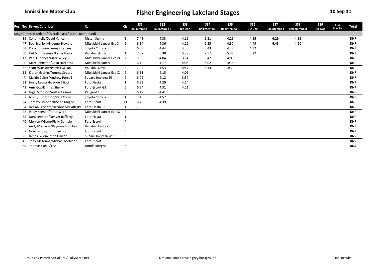|    | Pos No. Driver/Co-driver                                   | Car                      | Cls            | SS <sub>1</sub><br><b>Ballintempo I</b> | SS <sub>2</sub><br><b>Ballintempo II</b> | SS <sub>3</sub><br><b>Big Dog</b> | SS4<br><b>Ballintempo I</b> | SS5<br><b>Ballintempo II</b> | SS <sub>6</sub><br><b>Big Dog</b> | SS7<br><b>Ballintempo I</b> | SS8<br><b>Ballintempo II</b> | SS9<br><b>Big Dog</b> | Road<br>Penalties | Total      |
|----|------------------------------------------------------------|--------------------------|----------------|-----------------------------------------|------------------------------------------|-----------------------------------|-----------------------------|------------------------------|-----------------------------------|-----------------------------|------------------------------|-----------------------|-------------------|------------|
|    | Stage Times in order of Overall Classification (continued) |                          |                |                                         |                                          |                                   |                             |                              |                                   |                             |                              |                       |                   |            |
|    | 36 Conor Kelly/David Vance                                 | Nissan Sunny             | 5              | 7:48                                    | 4:33                                     | 4:19                              | 6:21                        | 4:29                         | 4:15                              | 6:29                        | 4:32                         |                       |                   | <b>DNF</b> |
| 47 | <b>Bob Scanlon/Graeme Stewart</b>                          | Mitsubishi Lancer Evo X  | 2              | 6:34                                    | 4:36                                     | 4:26                              | 6:35                        | 4:37                         | 4:49                              | 6:43                        | 4:50                         |                       |                   | <b>DNF</b> |
| 38 | Robert Erwin/Jimmy Graham                                  | Toyota Corolla           | 5              | 6:38                                    | 4:44                                     | 4:30                              | 6:43                        | 4:48                         | 4:32                              |                             |                              |                       |                   | <b>DNF</b> |
| 60 | Uel Montgomery/Leslie Hawe                                 | Vauxhall Astra           | 1              | 7:57                                    | 5:38                                     | 5:29                              | 7:57                        | 5:38                         | 5:22                              |                             |                              |                       |                   | <b>DNF</b> |
| 17 | Pat O'Connell/Mark Wiley                                   | Mitsubishi Lancer Evo IX | -2             | 5:58                                    | 4:04                                     | 3:54                              | 5:47                        | 4:00                         |                                   |                             |                              |                       |                   | <b>DNF</b> |
|    | Marc Johnston/Colin Harkness                               | Mitsubishi Lancer        | $\overline{2}$ | 6:12                                    | 4:17                                     | 4:05                              | 6:02                        | 4:15                         |                                   |                             |                              |                       |                   | <b>DNF</b> |
| 52 | Scott Winslow/Patrick Gillian                              | <b>Vauxhall Nova</b>     | 3              | 7:05                                    | 4:53                                     | 4:47                              | 6:44                        | 4:39                         |                                   |                             |                              |                       |                   | <b>DNF</b> |
| 12 | Kieran Graffin/Tommy Speers                                | Mitsubishi Lancer Evo IX | 9              | 6:11                                    | 4:15                                     | 4:05                              |                             |                              |                                   |                             |                              |                       |                   | <b>DNF</b> |
| 4  | Martin Cairns/Andrew Purcell                               | Subaru Impreza S9        | 9              | 6:09                                    | 4:12                                     | 3:57                              |                             |                              |                                   |                             |                              |                       |                   | <b>DNF</b> |
|    | 32 Jonny Leonard/Jackie Elliott                            | <b>Ford Fiesta</b>       |                | 6:33                                    | 4:29                                     | 4:14                              |                             |                              |                                   |                             |                              |                       |                   | <b>DNF</b> |
| 43 | Amy Cox/Emmet Sherry                                       | Ford Escort G3           | 6              | 6:34                                    | 4:31                                     | 4:21                              |                             |                              |                                   |                             |                              |                       |                   | <b>DNF</b> |
| 64 | Nigel Simpson/Austin Grimes                                | Peugeot 106              | 5              | 6:42                                    | 4:41                                     |                                   |                             |                              |                                   |                             |                              |                       |                   | <b>DNF</b> |
| 57 | Jimmy Thompson/Paul Corry                                  | Toyota Corolla           | 1              | 7:10                                    | 4:57                                     |                                   |                             |                              |                                   |                             |                              |                       |                   | <b>DNF</b> |
| 24 | Tommy O'Connell/Sean Magee                                 | Ford Escort              | 11             | 6:42                                    | 4:39                                     |                                   |                             |                              |                                   |                             |                              |                       |                   | <b>DNF</b> |
| 34 | Declan Leonard/Dermot McCafferty                           | Ford Fiesta ST           |                | 7:38                                    |                                          |                                   |                             |                              |                                   |                             |                              |                       |                   | <b>DNF</b> |
| 22 | Patsy Keenan/Peter Ward                                    | Mitsubishi Lancer Evo IX | $\overline{2}$ |                                         |                                          |                                   |                             |                              |                                   |                             |                              |                       |                   | <b>DNF</b> |
| 35 | Dara Leonard/Denver Rafferty                               | <b>Ford Fiesta</b>       |                |                                         |                                          |                                   |                             |                              |                                   |                             |                              |                       |                   | <b>DNF</b> |
|    | 40 Mervyn Wilson/Ricky Gamble                              | <b>Ford Escort</b>       |                |                                         |                                          |                                   |                             |                              |                                   |                             |                              |                       |                   | <b>DNF</b> |
|    | 65 Andy Mackeral/Raymond Conlon                            | Vauxhall Calibra         | 8              |                                         |                                          |                                   |                             |                              |                                   |                             |                              |                       |                   | <b>DNF</b> |
| 67 | Noel Lappin/John Treanor                                   | Ford Escort              | $\mathbf{a}$   |                                         |                                          |                                   |                             |                              |                                   |                             |                              |                       |                   | <b>DNF</b> |
| 8  | James Gillen/Jason Harron                                  | Subaru Impreza WRC       | 9              |                                         |                                          |                                   |                             |                              |                                   |                             |                              |                       |                   | <b>DNS</b> |
| 45 | Tony McKenna/Michael McAloon                               | Ford Escort              | 6              |                                         |                                          |                                   |                             |                              |                                   |                             |                              |                       |                   | <b>DNS</b> |
|    | 59 Thomas Cahill/TBA                                       | Honda Integra            | 6              |                                         |                                          |                                   |                             |                              |                                   |                             |                              |                       |                   | <b>DNS</b> |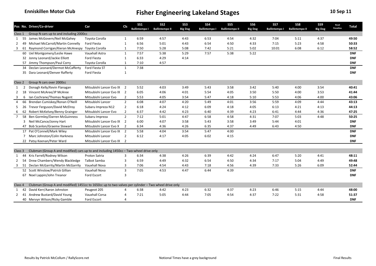|              |    | Pos No. Driver/Co-driver                                                                             | Car                        | Cls            | <b>SS1</b>           | SS <sub>2</sub>       | SS <sub>3</sub> | SS <sub>4</sub>      | SS <sub>5</sub>       | SS <sub>6</sub> | SS7                  | SS8                   | SS9            | Road             | Total      |
|--------------|----|------------------------------------------------------------------------------------------------------|----------------------------|----------------|----------------------|-----------------------|-----------------|----------------------|-----------------------|-----------------|----------------------|-----------------------|----------------|------------------|------------|
|              |    |                                                                                                      |                            |                | <b>Ballintempo I</b> | <b>Ballintempo II</b> | <b>Big Dog</b>  | <b>Ballintempo I</b> | <b>Ballintempo II</b> | <b>Big Dog</b>  | <b>Ballintempo I</b> | <b>Ballintempo II</b> | <b>Big Dog</b> | <b>Penalties</b> |            |
| Class 1      |    | Group N cars up to and including 2000cc                                                              |                            |                |                      |                       |                 |                      |                       |                 |                      |                       |                |                  |            |
| 1            |    | 55 James McGovern/Neil McGahey                                                                       | Toyota Corolla             | 1              | 6:59                 | 4:57                  | 4:43            | 6:53                 | 4:54                  | 4:32            | 7:04                 | 5:11                  | 4:37           |                  | 49:50      |
| 2            | 49 | Michael McCarroll/Martin Connelly                                                                    | Ford Fiesta                | $\mathbf{1}$   | 6:56                 | 5:01                  | 4:43            | 6:54                 | 4:50                  | 4:33            | 7:15                 | 5:23                  | 4:58           |                  | 50:33      |
| 3            |    | 61 Raymond Corrigan/Kieran McAnespy                                                                  | Toyota Corolla             | $\mathbf{1}$   | 7:50                 | 5:28                  | 5:08            | 7:42                 | 5:21                  | 5:02            | 10:01                | 6:08                  | 6:12           |                  | 58:52      |
|              |    | 60 Uel Montgomery/Leslie Hawe                                                                        | <b>Vauxhall Astra</b>      | 1              | 7:57                 | 5:38                  | 5:29            | 7:57                 | 5:38                  | 5:22            |                      |                       |                |                  | <b>DNF</b> |
|              |    | 32 Jonny Leonard/Jackie Elliott                                                                      | Ford Fiesta                | $\mathbf{1}$   | 6:33                 | 4:29                  | 4:14            |                      |                       |                 |                      |                       |                |                  | <b>DNF</b> |
|              |    | 57 Jimmy Thompson/Paul Corry                                                                         | Toyota Corolla             | $\mathbf{1}$   | 7:10                 | 4:57                  |                 |                      |                       |                 |                      |                       |                |                  | <b>DNF</b> |
|              |    | 34 Declan Leonard/Dermot McCafferty                                                                  | Ford Fiesta ST             | $\mathbf{1}$   | 7:38                 |                       |                 |                      |                       |                 |                      |                       |                |                  | <b>DNF</b> |
|              |    | 35 Dara Leonard/Denver Rafferty                                                                      | Ford Fiesta                | $\mathbf{1}$   |                      |                       |                 |                      |                       |                 |                      |                       |                |                  | <b>DNF</b> |
|              |    |                                                                                                      |                            |                |                      |                       |                 |                      |                       |                 |                      |                       |                |                  |            |
| Class 2      |    | Group N cars over 2000cc                                                                             |                            |                |                      |                       |                 |                      |                       |                 |                      |                       |                |                  |            |
| 1            | 2  | Donagh Kelly/Kevin Flanagan                                                                          | Mitsubishi Lancer Evo IX 2 |                | 5:52                 | 4:03                  | 3:49            | 5:43                 | 3:58                  | 3:42            | 5:40                 | 4:00                  | 3:54           |                  | 40:41      |
| 2            | 18 | Vincent McAree/JP McAree                                                                             | Mitsubishi Lancer Evo IX   | $\overline{2}$ | 6:05                 | 4:06                  | 4:01            | 5:54                 | 4:05                  | 3:50            | 5:50                 | 4:00                  | 3:53           |                  | 41:44      |
| 3            | 6  | Ian Cochrane/Thomas Nugent                                                                           | Mitsubishi Lancer Evo      | $\overline{2}$ | 5:53                 | 4:05                  | 3:54            | 5:47                 | 4:18                  | 5:10            | 5:53                 | 4:06                  | 4:00           |                  | 43:06      |
| 4            | 66 | Brendan Cumiskey/Ronan O'Neill                                                                       | Mitsubishi Lancer          | $\overline{2}$ | 6:08                 | 4:07                  | 4:20            | 5:49                 | 4:01                  | 3:56            | 5:59                 | 4:09                  | 4:44           |                  | 43:13      |
| -5           |    | 26 Trevor Ferguson/David McElroy                                                                     | Subaru Impreza N12         | $\overline{2}$ | 6:18                 | 4:24                  | 4:12            | 6:09                 | 4:18                  | 4:05            | 6:13                 | 4:21                  | 4:13           |                  | 44:13      |
| -6           | 62 | Robert McKelvey/Benny Grainger                                                                       | Mitsubishi Lancer Evo      | $\overline{2}$ | 6:37                 | 4:42                  | 4:23            | 6:40                 | 4:39                  | 4:23            | 6:41                 | 4:44                  | 4:36           |                  | 47:25      |
| $7^{\circ}$  | 58 | Ben Gormley/Darren McGuinness                                                                        | Subaru Impreza             | $\overline{2}$ | 7:12                 | 5:01                  | 4:47            | 6:58                 | 4:58                  | 4:31            | 7:07                 | 5:03                  | 4:48           |                  | 50:25      |
|              | 3  | Neil McCance/Jonny Hart                                                                              | Mitsubishi Lancer Evo IX   | $\overline{2}$ | 6:00                 | 4:07                  | 3:58            | 5:43                 | 3:58                  | 3:49            | 5:44                 | 4:01                  |                |                  | <b>DNF</b> |
|              |    | 47 Bob Scanlon/Graeme Stewart                                                                        | Mitsubishi Lancer Evo X    | $\overline{2}$ | 6:34                 | 4:36                  | 4:26            | 6:35                 | 4:37                  | 4:49            | 6:43                 | 4:50                  |                |                  | <b>DNF</b> |
|              |    | 17 Pat O'Connell/Mark Wiley                                                                          | Mitsubishi Lancer Evo IX   | $\overline{2}$ | 5:58                 | 4:04                  | 3:54            | 5:47                 | 4:00                  |                 |                      |                       |                |                  | <b>DNF</b> |
|              |    | 7 Marc Johnston/Colin Harkness                                                                       | Mitsubishi Lancer          | $\overline{2}$ | 6:12                 | 4:17                  | 4:05            | 6:02                 | 4:15                  |                 |                      |                       |                |                  | <b>DNF</b> |
|              |    | 22 Patsy Keenan/Peter Ward                                                                           | Mitsubishi Lancer Evo IX 2 |                |                      |                       |                 |                      |                       |                 |                      |                       |                |                  | <b>DNF</b> |
|              |    |                                                                                                      |                            |                |                      |                       |                 |                      |                       |                 |                      |                       |                |                  |            |
| Class 3      |    | Clubman (Group A and modified) cars up to and including 1450cc - Two-wheel drive only                |                            |                |                      |                       |                 |                      |                       |                 |                      |                       |                |                  |            |
| 1            | 44 | Kris Farrell/Rodney Wilson                                                                           | Proton Satria              | 3              | 6:34                 | 4:38                  | 4:26            | 6:39                 | 4:42                  | 4:24            | 6:47                 | 5:20                  | 4:41           |                  | 48:11      |
| $\mathbf{2}$ |    | 54 Drew Chambers/Wendy Blackledge                                                                    | <b>Talbot Samba</b>        | 3              | 6:59                 | 4:49                  | 4:32            | 6:54                 | 4:50                  | 4:34            | 7:17                 | 5:04                  | 4:49           |                  | 49:48      |
| 3            |    | 51 Declan McGarrity/Martin McGarrity                                                                 | Vauxhall Nova              | 3              | 7:06                 | 4:54                  | 4:43            | 7:18                 | 4:56                  | 4:39            | 7:33                 | 5:26                  | 6:09           |                  | 52:44      |
|              |    | 52 Scott Winslow/Patrick Gillian                                                                     | Vauxhall Nova              | 3              | 7:05                 | 4:53                  | 4:47            | 6:44                 | 4:39                  |                 |                      |                       |                |                  | <b>DNF</b> |
|              |    | 67 Noel Lappin/John Treanor                                                                          | Ford Escort                | 3              |                      |                       |                 |                      |                       |                 |                      |                       |                |                  | <b>DNF</b> |
|              |    |                                                                                                      |                            |                |                      |                       |                 |                      |                       |                 |                      |                       |                |                  |            |
| Class 4      |    | Clubman (Group A and modified) 1451cc to 1650cc up to two valves per cylinder - Two wheel drive only |                            |                |                      |                       |                 |                      |                       |                 |                      |                       |                |                  |            |
| 1            | 42 | David Kerr/Aaron Johnston                                                                            | Peugeot 205                | 4              | 6:38                 | 4:42                  | 4:23            | 6:32                 | 4:37                  | 4:23            | 6:46                 | 5:15                  | 4:44           |                  | 48:00      |
| 2            | 41 | Andrew Bustard/David Young                                                                           | <b>Vauxhall Corsa</b>      | 4              | 7:21                 | 5:05                  | 4:44            | 7:05                 | 4:54                  | 4:37            | 7:22                 | 5:31                  | 4:58           |                  | 51:37      |
|              |    | 40 Mervyn Wilson/Ricky Gamble                                                                        | Ford Escort                | 4              |                      |                       |                 |                      |                       |                 |                      |                       |                |                  | <b>DNF</b> |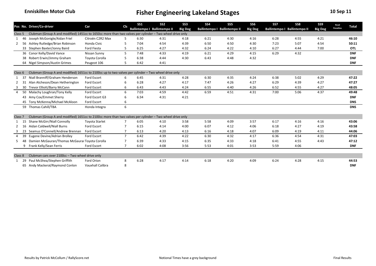|                    |     | Pos No. Driver/Co-driver                                                                                 | Car                     | Cls            | SS <sub>1</sub> | SS <sub>2</sub>              | SS <sub>3</sub> | <b>SS4</b> | SS <sub>5</sub>              | SS <sub>6</sub> | SS7                          | SS8  | SS9            | Road             | <b>Total</b> |
|--------------------|-----|----------------------------------------------------------------------------------------------------------|-------------------------|----------------|-----------------|------------------------------|-----------------|------------|------------------------------|-----------------|------------------------------|------|----------------|------------------|--------------|
|                    |     |                                                                                                          |                         |                |                 | Ballintempo I Ballintempo II | <b>Big Dog</b>  |            | Ballintempo I Ballintempo II | <b>Big Dog</b>  | Ballintempo I Ballintempo II |      | <b>Big Dog</b> | <b>Penalties</b> |              |
| Class 5            |     | Clubman (Group A and modified) 1451cc to 1650cc more than two valves per cylinder - Two wheel drive only |                         |                |                 |                              |                 |            |                              |                 |                              |      |                |                  |              |
|                    | 46  | Joseph McGonigle/Aidan Friel                                                                             | Citroën C2R2 Max        | 5              | 6:30            | 4:31                         | 4:18            | 6:21       | 4:30                         | 4:16            | 6:28                         | 4:55 | 4:21           |                  | 46:10        |
|                    | 56  | Ashley Rutledge/Brian Robinson                                                                           | Honda Civic             | 5              | 7:04            | 4:54                         | 4:39            | 6:50       | 4:50                         | 4:30            | 7:23                         | 5:07 | 4:54           |                  | 50:11        |
|                    |     | 33 Stephen Baxter/Jonny Baird                                                                            | <b>Ford Fiesta</b>      | 5              | 6:25            | 4:27                         | 4:32            | 6:24       | 4:22                         | 4:10            | 6:27                         | 4:44 | 7:00           |                  | OTL          |
|                    |     | 36 Conor Kelly/David Vance                                                                               | Nissan Sunny            | 5              | 7:48            | 4:33                         | 4:19            | 6:21       | 4:29                         | 4:15            | 6:29                         | 4:32 |                |                  | <b>DNF</b>   |
|                    | 38  | Robert Erwin/Jimmy Graham                                                                                | Toyota Corolla          | 5              | 6:38            | 4:44                         | 4:30            | 6:43       | 4:48                         | 4:32            |                              |      |                |                  | <b>DNF</b>   |
|                    |     | 64 Nigel Simpson/Austin Grimes                                                                           | Peugeot 106             | 5              | 6:42            | 4:41                         |                 |            |                              |                 |                              |      |                |                  | <b>DNF</b>   |
|                    |     |                                                                                                          |                         |                |                 |                              |                 |            |                              |                 |                              |      |                |                  |              |
| Class 6            |     | Clubman (Group A and modified) 1651cc to 2100cc up to two valves per cylinder - Two wheel drive only     |                         |                |                 |                              |                 |            |                              |                 |                              |      |                |                  |              |
|                    | -37 | Niall Branniff/Graham Henderson                                                                          | Ford Escort             | 6              | 6:45            | 4:31                         | 4:28            | 6:30       | 4:35                         | 4:24            | 6:38                         | 5:02 | 4:29           |                  | 47:22        |
|                    |     | Alan Atcheson/Dean Hetherington                                                                          | <b>Ford Escort</b>      | 6              | 6:28            | 4:27                         | 4:17            | 7:47       | 4:26                         | 4:27            | 6:29                         | 4:39 | 4:27           |                  | 47:27        |
|                    | 30  | Trevor Elliott/Barry McCann                                                                              | Ford Escort             | 6              | 6:43            | 4:43                         | 4:24            | 6:55       | 4:40                         | 4:26            | 6:52                         | 4:55 | 4:27           |                  | 48:05        |
| 4                  |     | 50 Malachy Loughran/Tony Kelly                                                                           | Ford Escort             | 6              | 7:03            | 4:59                         | 4:42            | 6:59       | 4:51                         | 4:31            | 7:00                         | 5:06 | 4:37           |                  | 49:48        |
|                    |     | 43 Amy Cox/Emmet Sherry                                                                                  | Ford Escort G3          | 6              | 6:34            | 4:31                         | 4:21            |            |                              |                 |                              |      |                |                  | <b>DNF</b>   |
|                    |     | 45 Tony McKenna/Michael McAloon                                                                          | Ford Escort             | 6              |                 |                              |                 |            |                              |                 |                              |      |                |                  | <b>DNS</b>   |
|                    |     | 59 Thomas Cahill/TBA                                                                                     | Honda Integra           | 6              |                 |                              |                 |            |                              |                 |                              |      |                |                  | <b>DNS</b>   |
|                    |     |                                                                                                          |                         |                |                 |                              |                 |            |                              |                 |                              |      |                |                  |              |
| Class <sub>7</sub> |     | Clubman (Group A and modified) 1651cc to 2100cc more than two valves per cylinder - Two wheel drive only |                         |                |                 |                              |                 |            |                              |                 |                              |      |                |                  |              |
|                    | 15  | Shane McGirr/Niall Connolly                                                                              | <b>Toyota Starlet</b>   |                | 6:05            | 4:10                         | 3:58            | 5:58       | 4:09                         | 3:57            | 6:17                         | 4:16 | 4:16           |                  | 43:06        |
|                    | 16  | Aidan Caldwell/Niall Burns                                                                               | Ford Escort             | $\overline{7}$ | 6:15            | 4:14                         | 4:00            | 6:07       | 4:12                         | 4:06            | 6:18                         | 4:27 | 4:19           |                  | 43:58        |
| 3                  | 23  | Seamus O'Connell/Andrew Brennan                                                                          | Ford Escort             | $\overline{7}$ | 6:13            | 4:20                         | 4:13            | 6:16       | 4:18                         | 4:07            | 6:09                         | 4:19 | 4:11           |                  | 44:06        |
| 4                  | 39  | Eugene Devine/Adrian Brolley                                                                             | <b>Ford Escort</b>      | $\overline{7}$ | 6:42            | 4:39                         | 4:22            | 6:30       | 4:32                         | 4:17            | 6:36                         | 4:54 | 4:31           |                  | 47:03        |
|                    | 48  | Damien McGauran/Thomas McGaurar Toyota Corolla                                                           |                         | 7              | 6:39            | 4:33                         | 4:15            | 6:35       | 4:33                         | 4:18            | 6:41                         | 4:55 | 4:43           |                  | 47:12        |
|                    | 9   | Frank Kelly/Sean Ferris                                                                                  | Ford Escort             | $\overline{7}$ | 6:02            | 4:08                         | 3:56            | 5:53       | 4:01                         | 3:53            | 5:59                         | 4:06 |                |                  | <b>DNF</b>   |
|                    |     |                                                                                                          |                         |                |                 |                              |                 |            |                              |                 |                              |      |                |                  |              |
| Class 8            |     | Clubman cars over 2100cc - Two wheel drive only                                                          |                         |                |                 |                              |                 |            |                              |                 |                              |      |                |                  |              |
|                    |     | Paul McShea/Stephen Griffith                                                                             | Ford Orion              | 8              | 6:28            | 4:17                         | 4:14            | 6:18       | 4:20                         | 4:09            | 6:24                         | 4:28 | 4:15           |                  | 44:53        |
|                    |     | 65 Andy Mackeral/Raymond Conlon                                                                          | <b>Vauxhall Calibra</b> | 8              |                 |                              |                 |            |                              |                 |                              |      |                |                  | <b>DNF</b>   |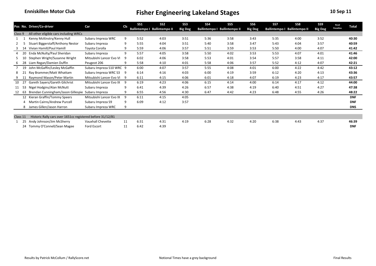|          |    | Pos No. Driver/Co-driver                                   | Car                      | <b>Cls</b> | SS <sub>1</sub> | SS <sub>2</sub>                     | SS <sub>3</sub> | SS <sub>4</sub> | SS <sub>5</sub>              | SS <sub>6</sub> | SS7  | SS8                                 | SS9            | Road             | Total      |
|----------|----|------------------------------------------------------------|--------------------------|------------|-----------------|-------------------------------------|-----------------|-----------------|------------------------------|-----------------|------|-------------------------------------|----------------|------------------|------------|
|          |    |                                                            |                          |            |                 | <b>Ballintempo I Ballintempo II</b> | <b>Big Dog</b>  |                 | Ballintempo I Ballintempo II | <b>Big Dog</b>  |      | <b>Ballintempo I Ballintempo II</b> | <b>Big Dog</b> | <b>Penalties</b> |            |
| Class 9  |    | All other eligible cars including WRCs                     |                          |            |                 |                                     |                 |                 |                              |                 |      |                                     |                |                  |            |
|          |    | Kenny McKinstry/Kenny Hull                                 | Subaru Impreza WRC       | 9          | 5:52            | 4:03                                | 3:51            | 5:36            | 3:58                         | 3:43            | 5:35 | 4:00                                | 3:52           |                  | 40:30      |
|          |    | Stuart Biggerstaff/Anthony Nestor                          | Subaru Impreza           | 9          | 5:55            | 4:04                                | 3:51            | 5:40            | 3:58                         | 3:47            | 5:43 | 4:04                                | 3:57           |                  | 40:59      |
|          |    | Vivian Hamill/Paul Hamill                                  | Toyota Corolla           | 9          | 5:59            | 4:06                                | 3:57            | 5:51            | 3:59                         | 3:53            | 5:50 | 4:00                                | 4:07           |                  | 41:42      |
|          |    | Enda McNulty/Paul Sheridan                                 | Subaru Impreza           | 9          | 5:57            | 4:05                                | 3:58            | 5:50            | 4:02                         | 3:53            | 5:53 | 4:07                                | 4:01           |                  | 41:46      |
|          |    | Stephen Wright/Susanne Wright                              | Mitsubishi Lancer Evo VI | 9          | 6:02            | 4:06                                | 3:58            | 5:53            | 4:01                         | 3:54            | 5:57 | 3:58                                | 4:11           |                  | 42:00      |
|          | 28 | Liam Regan/Damien Duffin                                   | Peugeot 206              | q          | 5:58            | 4:10                                | 4:01            | 5:58            | 4:06                         | 3:57            | 5:52 | 4:12                                | 4:07           |                  | 42:21      |
|          | 19 | John McGaffin/Lesley McGaffin                              | Subaru Impreza S10 WRC 9 |            | 6:00            | 4:07                                | 3:57            | 5:55            | 4:08                         | 4:01            | 6:00 | 4:22                                | 4:42           |                  | 43:12      |
|          |    | Ray Brammer/Matt Whattam                                   | Subaru Impreza WRC S3    | -9         | 6:14            | 4:16                                | 4:03            | 6:00            | 4:19                         | 3:59            | 6:12 | 4:20                                | 4:13           |                  | 43:36      |
|          |    | Raymond Mason/Peter Martin                                 | Mitsubishi Lancer Evo VI | -9         | 6:11            | 4:15                                | 4:06            | 6:01            | 4:18                         | 4:07            | 6:19 | 4:23                                | 4:17           |                  | 43:57      |
| 10       |    | Gareth Sayers/Gareth Gilchrist                             | Mitsubishi Lancer Evo IX | -9         | 6:19            | 4:23                                | 4:06            | 6:15            | 4:14                         | 4:00            | 6:14 | 4:17                                | 4:12           |                  | 44:00      |
| 11       | 53 | Nigel Hodgins/Alan McNutt                                  | Subaru Impreza           | 9          | 6:41            | 4:39                                | 4:26            | 6:57            | 4:38                         | 4:19            | 6:40 | 4:51                                | 4:27           |                  | 47:38      |
| 12       | 63 | Brendan Cunningham/Jason Gillespie                         | Subaru Impreza           | 9          | 6:55            | 4:56                                | 4:30            | 6:47            | 4:42                         | 4:23            | 6:48 | 4:55                                | 4:26           |                  | 48:22      |
|          |    | 12 Kieran Graffin/Tommy Speers                             | Mitsubishi Lancer Evo IX | 9          | 6:11            | 4:15                                | 4:05            |                 |                              |                 |      |                                     |                |                  | <b>DNF</b> |
|          | 4  | Martin Cairns/Andrew Purcell                               | Subaru Impreza S9        | q          | 6:09            | 4:12                                | 3:57            |                 |                              |                 |      |                                     |                |                  | <b>DNF</b> |
|          | 8  | James Gillen/Jason Harron                                  | Subaru Impreza WRC       | 9          |                 |                                     |                 |                 |                              |                 |      |                                     |                |                  | <b>DNS</b> |
|          |    |                                                            |                          |            |                 |                                     |                 |                 |                              |                 |      |                                     |                |                  |            |
| Class 11 |    | Historic Rally cars over 1651cc registered before 31/12/81 |                          |            |                 |                                     |                 |                 |                              |                 |      |                                     |                |                  |            |
|          | 25 | Andy Johnson/Jim McSherry                                  | Vauxhall Chevette        | 11         | 6:31            | 4:31                                | 4:19            | 6:28            | 4:32                         | 4:20            | 6:38 | 4:43                                | 4:37           |                  | 46:39      |
|          |    | 24 Tommy O'Connell/Sean Magee                              | Ford Escort              | 11         | 6:42            | 4:39                                |                 |                 |                              |                 |      |                                     |                |                  | <b>DNF</b> |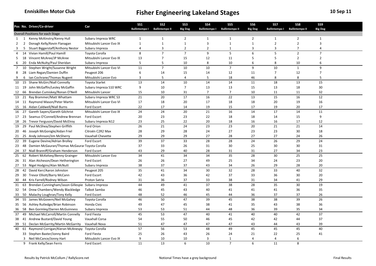|                |                | Pos No. Driver/Co-driver                             | Car                      | SS <sub>1</sub> | SS <sub>2</sub>              | SS <sub>3</sub> | <b>SS4</b>           | SS <sub>5</sub>       | SS <sub>6</sub> | SS7                  | SS8                   | SS9            |  |
|----------------|----------------|------------------------------------------------------|--------------------------|-----------------|------------------------------|-----------------|----------------------|-----------------------|-----------------|----------------------|-----------------------|----------------|--|
|                |                |                                                      |                          |                 | Ballintempo I Ballintempo II | <b>Big Dog</b>  | <b>Ballintempo I</b> | <b>Ballintempo II</b> | <b>Big Dog</b>  | <b>Ballintempo I</b> | <b>Ballintempo II</b> | <b>Big Dog</b> |  |
|                |                | Overall Positions for each Stage                     |                          |                 |                              |                 |                      |                       |                 |                      |                       |                |  |
| 1              | 1              | Kenny McKinstry/Kenny Hull                           | Subaru Impreza WRC       | $\mathbf{1}$    | $\mathbf{1}$                 | $\overline{2}$  | $\mathbf{1}$         | $\mathbf{1}$          | $\overline{2}$  | 1                    | $\overline{2}$        | $\mathbf{1}$   |  |
| $\overline{2}$ | $\overline{2}$ | Donagh Kelly/Kevin Flanagan                          | Mitsubishi Lancer Evo IX | $\mathbf{1}$    | $\mathbf{1}$                 | $\mathbf{1}$    | $\overline{3}$       | $\mathbf{1}$          | $\mathbf{1}$    | $\overline{2}$       | $\overline{2}$        | $\overline{3}$ |  |
| 3              | 5              | Stuart Biggerstaff/Anthony Nestor                    | Subaru Impreza           | $\overline{4}$  | 3                            | $\overline{2}$  | $\overline{2}$       | $\mathbf{1}$          | 3               | 3                    | $\overline{7}$        | $\overline{4}$ |  |
| 4              |                | 14 Vivian Hamill/Paul Hamill                         | Toyota Corolla           | 8               | $\overline{7}$               | $\overline{7}$  | 9                    | 5                     | 6               | 5                    | $\overline{2}$        | $\overline{7}$ |  |
| 5              |                | 18 Vincent McAree/JP McAree                          | Mitsubishi Lancer Evo IX | 13              | $\overline{7}$               | 15              | 12                   | 11                    | 5               | 5                    | $\overline{2}$        | $\overline{2}$ |  |
| 6              |                | 20 Enda McNulty/Paul Sheridan                        | Subaru Impreza           | 5               | 5                            | 10              | 8                    | 10                    | 6               | 8                    | 10                    | 6              |  |
| $\overline{7}$ |                | 10 Stephen Wright/Susanne Wright                     | Mitsubishi Lancer Evo VI | 11              | $\overline{7}$               | 10              | 10                   | $\overline{7}$        | 9               | 10                   | $\mathbf{1}$          | 9              |  |
| 8              |                | 28 Liam Regan/Damien Duffin                          | Peugeot 206              | 6               | 14                           | 15              | 14                   | 12                    | 11              | $\overline{7}$       | 12                    | $\overline{7}$ |  |
| 9              | 6              | Ian Cochrane/Thomas Nugent                           | Mitsubishi Lancer Evo    | $\overline{3}$  | 5                            | $\overline{4}$  | 5                    | 18                    | 46              | 8                    | 8                     | 5              |  |
| 10             |                | 15 Shane McGirr/Niall Connolly                       | <b>Toyota Starlet</b>    | 13              | 14                           | 10              | 14                   | 14                    | 11              | 18                   | 13                    | 15             |  |
|                |                | 11 19 John McGaffin/Lesley McGaffin                  | Subaru Impreza S10 WRC   | 9               | 10                           | $\overline{7}$  | 13                   | 13                    | 15              | 13                   | 18                    | 30             |  |
| 12             |                | 66 Brendan Cumiskey/Ronan O'Neill                    | Mitsubishi Lancer        | 15              | 10                           | 31              | $\overline{7}$       | $\overline{7}$        | 10              | 11                   | 11                    | 32             |  |
| 13             | 21             | Ray Brammer/Matt Whattam                             | Subaru Impreza WRC S3    | 21              | 20                           | 17              | 16                   | 22                    | 13              | 15                   | 16                    | $12\,$         |  |
|                |                | 14 11 Raymond Mason/Peter Martin                     | Mitsubishi Lancer Evo VI | 17              | 18                           | 20              | 17                   | 18                    | 18              | 20                   | 19                    | 16             |  |
| 15             |                | 16 Aidan Caldwell/Niall Burns                        | Ford Escort              | 22              | 17                           | 14              | 19                   | 15                    | 17              | 19                   | 20                    | 17             |  |
| 16             | 27             | Gareth Sayers/Gareth Gilchrist                       | Mitsubishi Lancer Evo IX | 24              | 24                           | $20\,$          | 21                   | 16                    | 14              | 17                   | 14                    | 11             |  |
| 17             | 23             | Seamus O'Connell/Andrew Brennan                      | Ford Escort              | 20              | 23                           | 23              | 22                   | 18                    | 18              | 14                   | 15                    | 9              |  |
|                |                | 18 26 Trevor Ferguson/David McElroy                  | Subaru Impreza N12       | 23              | 25                           | 22              | 20                   | 18                    | 16              | 16                   | 17                    | 12             |  |
| 19             |                | 29 Paul McShea/Stephen Griffith                      | Ford Orion               | 26              | 21                           | $\overline{24}$ | 23                   | 23                    | 20              | 21                   | $\overline{21}$       | 14             |  |
|                |                | 20 46 Joseph McGonigle/Aidan Friel                   | Citroën C2R2 Max         | 28              | 29                           | 28              | 24                   | 27                    | 23              | 23                   | 30                    | 18             |  |
|                |                | 21 25 Andy Johnson/Jim McSherry                      | Vauxhall Chevette        | 29              | 29                           | 29              | 27                   | 28                    | 27              | 27                   | 24                    | 26             |  |
|                |                | 22 39 Eugene Devine/Adrian Brolley                   | Ford Escort              | 39              | 37                           | 33              | 28                   | 28                    | 24              | 26                   | 29                    | 24             |  |
|                |                | 23 48 Damien McGauran/Thomas McGaurar Toyota Corolla |                          | 37              | 33                           | 26              | 31                   | 30                    | 25              | 30                   | 30                    | 31             |  |
| 24             |                | 37 Niall Branniff/Graham Henderson                   | Ford Escort              | 43              | 29                           | 40              | 28                   | 31                    | 31              | 27                   | 34                    | 23             |  |
| 25             | 62             | Robert McKelvey/Benny Grainger                       | Mitsubishi Lancer Evo    | 34              | 41                           | 34              | 34                   | 35                    | 28              | 30                   | 25                    | 25             |  |
|                |                | 26 31 Alan Atcheson/Dean Hetherington                | Ford Escort              | 26              | 26                           | 27              | 49                   | 25                    | 34              | 24                   | 23                    | 20             |  |
|                |                | 27 53 Nigel Hodgins/Alan McNutt                      | Subaru Impreza           | 38              | 37                           | 37              | 43                   | 34                    | 26              | 29                   | 28                    | 20             |  |
| 28             | 42             | David Kerr/Aaron Johnston                            | Peugeot 205              | 35              | 41                           | 34              | 30                   | 32                    | 28              | 33                   | 40                    | 32             |  |
|                |                | 29 30 Trevor Elliott/Barry McCann                    | Ford Escort              | 42              | 43                           | 36              | 42                   | 37                    | 33              | 36                   | 30                    | 20             |  |
| 30             |                | 44 Kris Farrell/Rodney Wilson                        | Proton Satria            | 31              | 36                           | 37              | 33                   | 38                    | 31              | 34                   | 41                    | 29             |  |
| 31             | 63             | Brendan Cunningham/Jason Gillespie Subaru Impreza    |                          | 44              | 49                           | 41              | 37                   | 38                    | 28              | 35                   | 30                    | 19             |  |
| 32             |                | 54 Drew Chambers/Wendy Blackledge                    | <b>Talbot Samba</b>      | 46              | 45                           | 43              | 40                   | 41                    | 41              | 41                   | 36                    | 35             |  |
| 33             |                | 50 Malachy Loughran/Tony Kelly                       | Ford Escort              | 48              | 52                           | 46              | 45                   | 44                    | 36              | 37                   | 37                    | 26             |  |
| 34             |                | 55 James McGovern/Neil McGahey                       | Toyota Corolla           | 46              | 50                           | 47              | 39                   | 45                    | 38              | 38                   | 39                    | 26             |  |
|                |                |                                                      | Honda Civic              |                 | 47                           | 45              | 38                   |                       | 35              |                      | 38                    | 36             |  |
|                |                | 35 56 Ashley Rutledge/Brian Robinson                 |                          | 49              |                              |                 | 44                   | 41                    | 36              | 43                   |                       | 34             |  |
| 36             | 58             | Ben Gormley/Darren McGuinness                        | Subaru Impreza           | 53              | 53                           | 51              |                      | 48                    |                 | 39                   | 35                    |                |  |
| 37             |                | 49 Michael McCarroll/Martin Connelly                 | Ford Fiesta              | 45              | 53                           | 47              | 40                   | 41                    | 40              | 40                   | 42                    | 37             |  |
| 38             |                | 41 Andrew Bustard/David Young                        | Vauxhall Corsa           | 54              | 55                           | 50              | 46                   | 45                    | 42              | 42                   | 44                    | 37             |  |
| 39             | 51             | Declan McGarrity/Martin McGarrity                    | Vauxhall Nova            | 51              | 47                           | 47              | 47                   | 47                    | 43              | 44                   | 43                    | 39             |  |
|                |                | 40 61 Raymond Corrigan/Kieran McAnespy               | Toyota Corolla           | 57              | 56                           | 53              | 48                   | 49                    | 45              | 45                   | 45                    | 40             |  |
|                |                | 33 Stephen Baxter/Jonny Baird                        | Ford Fiesta              | 25              | 26                           | 43              | 26                   | 24                    | 21              | 22                   | 25                    | 41             |  |
|                |                | 3 Neil McCance/Jonny Hart                            | Mitsubishi Lancer Evo IX | 9               | 10                           | 10              | 3                    | $\mathbf{1}$          | $\overline{4}$  | $\overline{4}$       | 6                     |                |  |
|                |                | 9 Frank Kelly/Sean Ferris                            | Ford Escort              | 11              | 13                           | 6               | 10                   | $\overline{7}$        | 6               | 11                   | 8                     |                |  |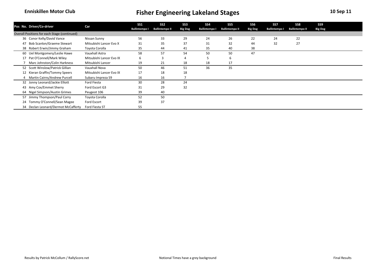| Pos No. Driver/Co-driver                     | Car                      | SS <sub>1</sub>      | SS <sub>2</sub>       | SS3            | SS <sub>4</sub>      | SS5                   | SS6            | SS7                  | SS8                   | SS9            |  |
|----------------------------------------------|--------------------------|----------------------|-----------------------|----------------|----------------------|-----------------------|----------------|----------------------|-----------------------|----------------|--|
|                                              |                          | <b>Ballintempo I</b> | <b>Ballintempo II</b> | <b>Big Dog</b> | <b>Ballintempo I</b> | <b>Ballintempo II</b> | <b>Big Dog</b> | <b>Ballintempo I</b> | <b>Ballintempo II</b> | <b>Big Dog</b> |  |
| Overall Positions for each Stage (continued) |                          |                      |                       |                |                      |                       |                |                      |                       |                |  |
| 36 Conor Kelly/David Vance                   | Nissan Sunny             | 56                   | 33                    | 29             | 24                   | 26                    | 22             | 24                   | 22                    |                |  |
| Bob Scanlon/Graeme Stewart<br>47             | Mitsubishi Lancer Evo X  | 31                   | 35                    | 37             | 31                   | 32                    | 44             | 32                   | 27                    |                |  |
| 38 Robert Erwin/Jimmy Graham                 | Toyota Corolla           | 35                   | 44                    | 41             | 35                   | 40                    | 38             |                      |                       |                |  |
| 60 Uel Montgomery/Leslie Hawe                | Vauxhall Astra           | 58                   | 57                    | 54             | 50                   | 50                    | 47             |                      |                       |                |  |
| 17 Pat O'Connell/Mark Wiley                  | Mitsubishi Lancer Evo IX | 6                    |                       |                |                      | -6                    |                |                      |                       |                |  |
| Marc Johnston/Colin Harkness                 | Mitsubishi Lancer        | 19                   | 21                    | 18             | 18                   | 17                    |                |                      |                       |                |  |
| 52 Scott Winslow/Patrick Gillian             | Vauxhall Nova            | 50                   | 46                    | 51             | 36                   | 35                    |                |                      |                       |                |  |
| 12 Kieran Graffin/Tommy Speers               | Mitsubishi Lancer Evo IX | 17                   | 18                    | 18             |                      |                       |                |                      |                       |                |  |
| 4 Martin Cairns/Andrew Purcell               | Subaru Impreza S9        | 16                   | 16                    |                |                      |                       |                |                      |                       |                |  |
| 32 Jonny Leonard/Jackie Elliott              | Ford Fiesta              | 30                   | 28                    | 24             |                      |                       |                |                      |                       |                |  |
| 43 Amy Cox/Emmet Sherry                      | Ford Escort G3           | 31                   | 29                    | 32             |                      |                       |                |                      |                       |                |  |
| 64 Nigel Simpson/Austin Grimes               | Peugeot 106              | 39                   | 40                    |                |                      |                       |                |                      |                       |                |  |
| 57 Jimmy Thompson/Paul Corry                 | Toyota Corolla           | 52                   | 50                    |                |                      |                       |                |                      |                       |                |  |
| 24 Tommy O'Connell/Sean Magee                | Ford Escort              | 39                   | 37                    |                |                      |                       |                |                      |                       |                |  |
| 34 Declan Leonard/Dermot McCafferty          | Ford Fiesta ST           | 55                   |                       |                |                      |                       |                |                      |                       |                |  |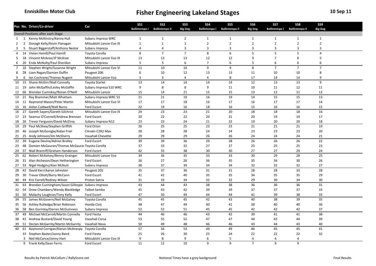|                |                | Pos No. Driver/Co-driver                           | Car                      | SS1                  | SS <sub>2</sub>       | <b>SS3</b>     | <b>SS4</b>           | SS <sub>5</sub>       | SS <sub>6</sub> | SS7                  | SS8                   | SS9            |  |
|----------------|----------------|----------------------------------------------------|--------------------------|----------------------|-----------------------|----------------|----------------------|-----------------------|-----------------|----------------------|-----------------------|----------------|--|
|                |                |                                                    |                          | <b>Ballintempo I</b> | <b>Ballintempo II</b> | <b>Big Dog</b> | <b>Ballintempo I</b> | <b>Ballintempo II</b> | <b>Big Dog</b>  | <b>Ballintempo I</b> | <b>Ballintempo II</b> | <b>Big Dog</b> |  |
|                |                | Overall Positions after each Stage                 |                          |                      |                       |                |                      |                       |                 |                      |                       |                |  |
| 1              | $\overline{1}$ | Kenny McKinstry/Kenny Hull                         | Subaru Impreza WRC       | $\mathbf{1}$         | $\mathbf{1}$          | $\overline{2}$ | $\mathbf{1}$         | $\mathbf{1}$          | $\mathbf{1}$    | $\mathbf{1}$         | $\mathbf{1}$          | $\mathbf{1}$   |  |
| $\overline{2}$ | $\overline{2}$ | Donagh Kelly/Kevin Flanagan                        | Mitsubishi Lancer Evo IX | $\mathbf{1}$         | $\mathbf{1}$          | $\mathbf{1}$   | $\overline{2}$       | $\overline{2}$        | $\overline{2}$  | $\overline{2}$       | $\overline{2}$        | $\overline{2}$ |  |
| 3              | 5              | Stuart Biggerstaff/Anthony Nestor                  | Subaru Impreza           | 4                    | $\overline{4}$        | 3              | $\overline{3}$       | 3                     | $\overline{3}$  | 3                    | 3                     | $\overline{3}$ |  |
| $\overline{4}$ |                | 14 Vivian Hamill/Paul Hamill                       | Toyota Corolla           | 8                    | $\overline{7}$        | $\overline{7}$ | 8                    | 6                     | 5               | 5                    | 5                     | $\overline{4}$ |  |
| 5              |                | 18 Vincent McAree/JP McAree                        | Mitsubishi Lancer Evo IX | 13                   | 13                    | 13             | 12                   | 12                    | 9               | $\overline{7}$       | 8                     | 5              |  |
| 6              | 20             | Enda McNulty/Paul Sheridan                         | Subaru Impreza           | 5                    | 5                     | 6              | $\overline{7}$       | 6                     | 5               | 6                    | 6                     | 6              |  |
| $\overline{7}$ |                | 10 Stephen Wright/Susanne Wright                   | Mitsubishi Lancer Evo VI | 11                   | 10                    | 10             | 9                    | 9                     | 8               | $\overline{7}$       | $\overline{7}$        | $\overline{7}$ |  |
| 8              |                | 28 Liam Regan/Damien Duffin                        | Peugeot 206              | 6                    | 10                    | 12             | 13                   | 13                    | 11              | 10                   | 10                    | 8              |  |
| 9              | 6              | Ian Cochrane/Thomas Nugent                         | Mitsubishi Lancer Evo    | $\overline{3}$       | 3                     | 4              | $\overline{4}$       | 8                     | 17              | 14                   | 14                    | 9              |  |
|                |                | 10 15 Shane McGirr/Niall Connolly                  | <b>Toyota Starlet</b>    | 13                   | 14                    | 14             | 14                   | 14                    | $\overline{12}$ | 13                   | 13                    | 9              |  |
|                |                | 11 19 John McGaffin/Lesley McGaffin                | Subaru Impreza S10 WRC   | 9                    | 8                     | 8              | 9                    | 11                    | 10              | 11                   | 12                    | 11             |  |
| 12             | 66             | Brendan Cumiskey/Ronan O'Neill                     | Mitsubishi Lancer        | 15                   | 14                    | 21             | 15                   | 15                    | 13              | 12                   | 11                    | 12             |  |
|                | 13 21          | Ray Brammer/Matt Whattam                           | Subaru Impreza WRC S3    | 21                   | 21                    | 19             | 16                   | 19                    | 14              | 15                   | 15                    | 13             |  |
|                |                | 14 11 Raymond Mason/Peter Martin                   | Mitsubishi Lancer Evo VI | 17                   | 17                    | 18             | 16                   | 17                    | 16              | 17                   | 17                    | 14             |  |
|                |                | 15 16 Aidan Caldwell/Niall Burns                   | Ford Escort              | 22                   | 19                    | 16             | 18                   | 16                    | 15              | 16                   | 16                    | 15             |  |
|                |                | 16 27 Gareth Sayers/Gareth Gilchrist               | Mitsubishi Lancer Evo IX | 24                   | 23                    | 23             | 21                   | 20                    | 18              | 18                   | 18                    | 16             |  |
| 17             | 23             | Seamus O'Connell/Andrew Brennan                    | Ford Escort              | 20                   | 22                    | 22             | 20                   | 21                    | 20              | 19                   | 19                    | 17             |  |
|                |                | 18 26 Trevor Ferguson/David McElroy                | Subaru Impreza N12       | 23                   | 23                    | 24             | 21                   | 22                    | 19              | 20                   | 20                    | 18             |  |
| 19             |                | 29 Paul McShea/Stephen Griffith                    | Ford Orion               | 26                   | $\overline{25}$       | 25             | 23                   | 23                    | 21              | 21                   | 21                    | 19             |  |
|                |                | 20 46 Joseph McGonigle/Aidan Friel                 | Citroën C2R2 Max         | 28                   | 28                    | 28             | 24                   | 24                    | 23              | 23                   | 23                    | 20             |  |
|                |                | 21 25 Andy Johnson/Jim McSherry                    | Vauxhall Chevette        | 29                   | 29                    | 29             | 26                   | 26                    | 24              | 24                   | 24                    | 21             |  |
|                |                | 22 39 Eugene Devine/Adrian Brolley                 | Ford Escort              | 39                   | 39                    | 36             | 29                   | 28                    | 26              | 26                   | 26                    | 22             |  |
|                | 23 48          | Damien McGauran/Thomas McGaurar Toyota Corolla     |                          | 37                   | 33                    | 32             | 27                   | 27                    | 25              | 25                   | 25                    | 23             |  |
| 24             |                | 37 Niall Branniff/Graham Henderson                 | Ford Escort              | 42                   | 35                    | 38             | 30                   | 30                    | 27              | 27                   | 29                    | 24             |  |
| 25             | 62             | Robert McKelvey/Benny Grainger                     | Mitsubishi Lancer Evo    | 34                   | 36                    | 35             | 33                   | 33                    | 30              | 29                   | 28                    | 25             |  |
|                |                | 26 31 Alan Atcheson/Dean Hetherington              | Ford Escort              | 26                   | 27                    | 26             | 36                   | 35                    | 35              | 34                   | 30                    | 26             |  |
| 27             |                | 53 Nigel Hodgins/Alan McNutt                       | Subaru Impreza           | 38                   | 37                    | 39             | 34                   | 34                    | 32              | 32                   | 32                    | 27             |  |
| 28             | 42             | David Kerr/Aaron Johnston                          | Peugeot 205              | 35                   | 37                    | 36             | 31                   | 31                    | 28              | 28                   | 33                    | 28             |  |
| 29             |                | 30 Trevor Elliott/Barry McCann                     | Ford Escort              | 41                   | 42                    | 40             | 35                   | 35                    | 34              | 35                   | 35                    | 29             |  |
| 30             | 44             | Kris Farrell/Rodney Wilson                         | Proton Satria            | 31                   | 33                    | 34             | 32                   | 32                    | 29              | 30                   | 34                    | 30             |  |
| 31             | 63             | Brendan Cunningham/Jason Gillespie Subaru Impreza  |                          | 43                   | 44                    | 43             | 38                   | 38                    | 36              | 36                   | 36                    | 31             |  |
|                | 32 54          | Drew Chambers/Wendy Blackledge                     | Talbot Samba             | 45                   | 43                    | 42             | 39                   | 39                    | 37              | 37                   | 37                    | 33             |  |
| 33             |                | 50 Malachy Loughran/Tony Kelly                     | Ford Escort              | 47                   | 50                    | 49             | 44                   | 44                    | 41              | 39                   | 38                    | 33             |  |
|                |                | 34 55 James McGovern/Neil McGahey                  | Toyota Corolla           | 45                   | 45                    | 45             | 42                   | 43                    | 40              | 38                   | 39                    | 35             |  |
|                |                | 35 56 Ashley Rutledge/Brian Robinson               | Honda Civic              | 48                   | 47                    | 44             | 40                   | 41                    | 38              | 40                   | 40                    | 36             |  |
| 36             | 58             | Ben Gormley/Darren McGuinness                      | Subaru Impreza           | 52                   | 52                    | 51             | 45                   | 45                    | 42              | 42                   | 42                    | 37             |  |
| 37             |                | 49 Michael McCarroll/Martin Connelly               | Ford Fiesta              | 44                   | 46                    | 46             | 43                   | 42                    | 39              | 41                   | 41                    | 38             |  |
| 38             |                | 41 Andrew Bustard/David Young                      | Vauxhall Corsa           | 53                   | 55                    | 52             | 47                   | 47                    | 44              | 43                   | 44                    | 39             |  |
|                | 51             |                                                    | Vauxhall Nova            | 50                   |                       | 48             |                      |                       | 43              | 44                   |                       | 40             |  |
| 39             |                | Declan McGarrity/Martin McGarrity                  |                          | 57                   | 49<br>56              | 53             | 46                   | 46<br>49              | 46              | 45                   | 43<br>45              | 41             |  |
| 40             |                | 61 Raymond Corrigan/Kieran McAnespy Toyota Corolla |                          |                      |                       |                | 49                   |                       |                 |                      |                       |                |  |
|                |                | 33 Stephen Baxter/Jonny Baird                      | Ford Fiesta              | 25                   | 26                    | 30             | 25                   | 24                    | 22              | 22                   | 22                    | 32             |  |
|                |                | 3 Neil McCance/Jonny Hart                          | Mitsubishi Lancer Evo IX | 9                    | 8                     | 9              | 6                    | 5                     | $\overline{4}$  | 4                    | $\overline{4}$        |                |  |
|                |                | 9 Frank Kelly/Sean Ferris                          | Ford Escort              | 11                   | 12                    | 10             | 9                    | 9                     | $\overline{7}$  | 9                    | 9                     |                |  |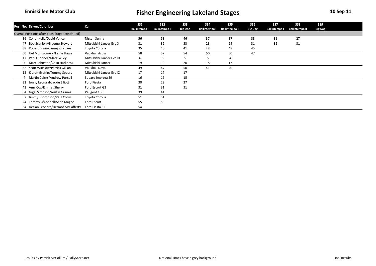| Pos No. Driver/Co-driver                       | Car                      | SS1                  | SS <sub>2</sub>       | SS3            | SS <sub>4</sub>      | SS <sub>5</sub>       | SS <sub>6</sub> | SS7                  | SS8                   | SS9            |  |
|------------------------------------------------|--------------------------|----------------------|-----------------------|----------------|----------------------|-----------------------|-----------------|----------------------|-----------------------|----------------|--|
|                                                |                          | <b>Ballintempo I</b> | <b>Ballintempo II</b> | <b>Big Dog</b> | <b>Ballintempo I</b> | <b>Ballintempo II</b> | <b>Big Dog</b>  | <b>Ballintempo I</b> | <b>Ballintempo II</b> | <b>Big Dog</b> |  |
| Overall Positions after each Stage (continued) |                          |                      |                       |                |                      |                       |                 |                      |                       |                |  |
| 36 Conor Kelly/David Vance                     | Nissan Sunny             | 56                   | 53                    | 46             | 37                   | 37                    | 33              | 31                   | 27                    |                |  |
| Bob Scanlon/Graeme Stewart<br>47               | Mitsubishi Lancer Evo X  | 31                   | 32                    | 33             | 28                   | 29                    | 31              | 32                   | 31                    |                |  |
| 38 Robert Erwin/Jimmy Graham                   | Toyota Corolla           | 35                   | 40                    | 41             | 48                   | 48                    | 45              |                      |                       |                |  |
| 60 Uel Montgomery/Leslie Hawe                  | Vauxhall Astra           | 58                   | 57                    | 54             | 50                   | 50                    | 47              |                      |                       |                |  |
| 17 Pat O'Connell/Mark Wiley                    | Mitsubishi Lancer Evo IX | b                    |                       |                |                      |                       |                 |                      |                       |                |  |
| Marc Johnston/Colin Harkness                   | Mitsubishi Lancer        | 19                   | 19                    | 20             | 18                   | 17                    |                 |                      |                       |                |  |
| 52 Scott Winslow/Patrick Gillian               | Vauxhall Nova            | 49                   | 47                    | 50             | 41                   | 40                    |                 |                      |                       |                |  |
| 12 Kieran Graffin/Tommy Speers                 | Mitsubishi Lancer Evo IX | 17                   | 17                    | 17             |                      |                       |                 |                      |                       |                |  |
| 4 Martin Cairns/Andrew Purcell                 | Subaru Impreza S9        | 16                   | 16                    | 15             |                      |                       |                 |                      |                       |                |  |
| 32 Jonny Leonard/Jackie Elliott                | Ford Fiesta              | 30                   | 29                    | 27             |                      |                       |                 |                      |                       |                |  |
| 43 Amy Cox/Emmet Sherry                        | Ford Escort G3           | 31                   | 31                    | 31             |                      |                       |                 |                      |                       |                |  |
| 64 Nigel Simpson/Austin Grimes                 | Peugeot 106              | 39                   | 41                    |                |                      |                       |                 |                      |                       |                |  |
| 57 Jimmy Thompson/Paul Corry                   | Toyota Corolla           | 51                   | 51                    |                |                      |                       |                 |                      |                       |                |  |
| 24 Tommy O'Connell/Sean Magee                  | Ford Escort              | 55                   | 53                    |                |                      |                       |                 |                      |                       |                |  |
| 34 Declan Leonard/Dermot McCafferty            | Ford Fiesta ST           | 54                   |                       |                |                      |                       |                 |                      |                       |                |  |